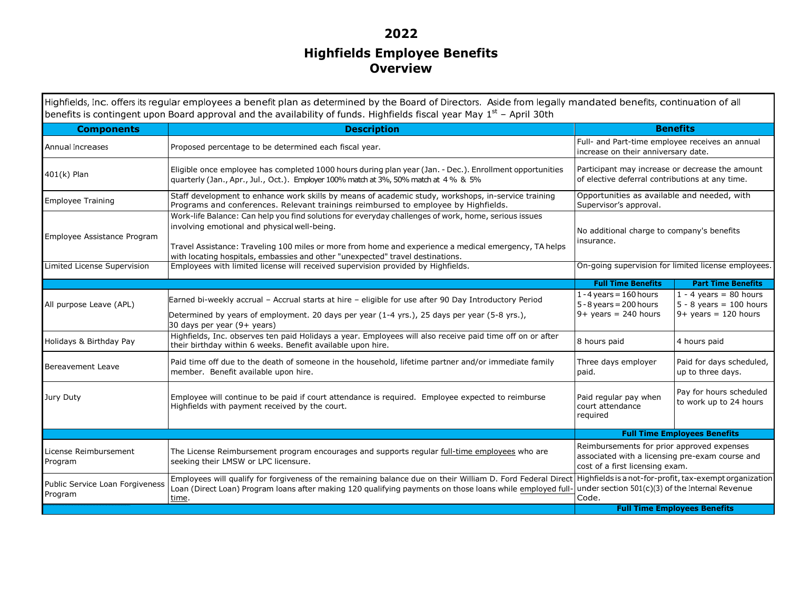## **2022 Highfields Employee Benefits Overview**

Highfields, Inc. offers its regular employees a benefit plan as determined by the Board of Directors. Aside from legally mandated benefits, continuation of all<br>bonefits is contingent upon Board approval and the availabilit benefits is contingent upon Board approval and the availability of funds. Highfields fiscal year May  $1^{st}$  – April 30th **Components Description below the contract of the contract of the contract of the contract of the contract of the contract of the contra**<br>Extending the contract of the contract of the contract of the contract of the contract of the contract of t Annual Increases Proposed percentage to be determined each fiscal year. Full- and Part-time employee receives an annual increase on their anniversary date. Eligible once employee has completed 1000 hours during plan year (Jan. - Dec.). Enrollment opportunities Participant may increase or decrease the amount at 4%. So and the state of elective deferral contributions at any tim Employee Training Staff development to enhance work skills by means of academic study, workshops, in-service training<br>Programs and conferences. Relevant trainings reimbursed to employee by Highfields. Opportunities as available and needed, with Supervisor's approval. Employee Assistance Program Work-life Balance: Can help you find solutions for everyday challenges of work, home, serious issues involving emotional and physical well-being. Travel Assistance: Traveling 100 miles or more from home and experience a medical emergency, TA helps with locating hospitals, embassies and other "unexpected" travel destinations. n Employees with limited license will received supervision provided by Highfields. Supervolution on-going supervision for limited license employees. No additional charge to company's benefits insurance. Limited License Supervision**Full Time Benefits Part Time Benefits** All purpose Leave (APL) Earned bi-weekly accrual – Accrual starts at hire – eligible for use after 90 Day Introductory Period Determined by years of employment. 20 days per year (1-4 yrs.), 25 days per year (5-8 yrs.), 30 days per year (9+ years) Holidays & Birthday Pay Highfields, Inc. observes ten paid Holidays a year. Employees will also receive paid time off on or after 8 hours paid 4 hours paid  $1 - 4$  years = 160 hours 5 - 8 years = 200 hours 9+ years = 240 hours  $1 - 4$  years = 80 hours  $5 - 8$  years = 100 hours  $9+$  years = 120 hours Bereavement Leave Paid time off due to the death of someone in the household, lifetime partner and/or immediate family member and paid. Paid for days scheduled, paid. Paid for days scheduled, paid. Paid for days employer Jury Duty Employee will continue to be paid if court attendance is required. Employee expected to reimburse Highfields with payment received by the court. Paid regular pay when court attendance required Pay for hours scheduled to work up to 24 hours **Full Time Employees Benefits** Reimbursements for prior approved expenses License Reimbursement Program The License Reimbursement program encourages and supports regular full-time employees who are seeking their LMSW or LPC licensure. associated with a licensing pre-exam course and cost of a first licensing exam. Public Service Loan Forgiveness Program Employees will qualify for forgiveness of the remaining balance due on their William D. Ford Federal Direct Loan (Direct Loan) Program loans after making 120 qualifying payments on those loans while employed full-Highfields is a not-for-profit, tax-exempt organization<br>under section 501(c)(3) of the Internal Revenue time.<u>Code.</u> Code. **Code:** Code: Code: Code: Code: Code: Code: Code: Code: Code: Code: Code: Code: Code: Code: Code: Code: Code: Code: Code: Code: Code: Code: Code: Code: Code: Code: Code: Code: Code: Code: Code: Code: Code: Co **Full Time Employees Benefits**